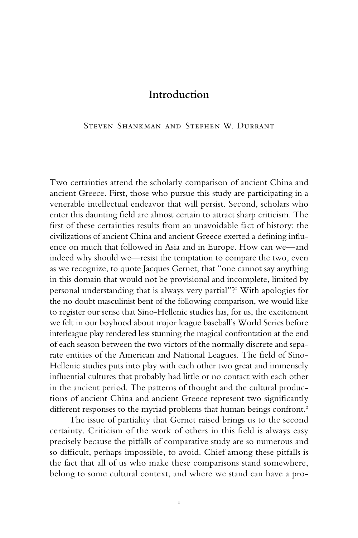## Steven Shankman and Stephen W. Durrant

Two certainties attend the scholarly comparison of ancient China and ancient Greece. First, those who pursue this study are participating in a venerable intellectual endeavor that will persist. Second, scholars who enter this daunting field are almost certain to attract sharp criticism. The first of these certainties results from an unavoidable fact of history: the civilizations of ancient China and ancient Greece exerted a defining influence on much that followed in Asia and in Europe. How can we—and indeed why should we—resist the temptation to compare the two, even as we recognize, to quote Jacques Gernet, that "one cannot say anything in this domain that would not be provisional and incomplete, limited by personal understanding that is always very partial"?1 With apologies for the no doubt masculinist bent of the following comparison, we would like to register our sense that Sino-Hellenic studies has, for us, the excitement we felt in our boyhood about major league baseball's World Series before interleague play rendered less stunning the magical confrontation at the end of each season between the two victors of the normally discrete and separate entities of the American and National Leagues. The field of Sino-Hellenic studies puts into play with each other two great and immensely influential cultures that probably had little or no contact with each other in the ancient period. The patterns of thought and the cultural productions of ancient China and ancient Greece represent two significantly different responses to the myriad problems that human beings confront.<sup>2</sup>

The issue of partiality that Gernet raised brings us to the second certainty. Criticism of the work of others in this field is always easy precisely because the pitfalls of comparative study are so numerous and so difficult, perhaps impossible, to avoid. Chief among these pitfalls is the fact that all of us who make these comparisons stand somewhere, belong to some cultural context, and where we stand can have a pro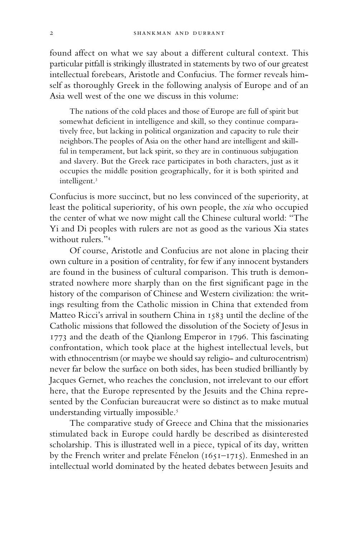found affect on what we say about a different cultural context. This particular pitfall is strikingly illustrated in statements by two of our greatest intellectual forebears, Aristotle and Confucius. The former reveals himself as thoroughly Greek in the following analysis of Europe and of an Asia well west of the one we discuss in this volume:

The nations of the cold places and those of Europe are full of spirit but somewhat deficient in intelligence and skill, so they continue comparatively free, but lacking in political organization and capacity to rule their neighbors.The peoples of Asia on the other hand are intelligent and skillful in temperament, but lack spirit, so they are in continuous subjugation and slavery. But the Greek race participates in both characters, just as it occupies the middle position geographically, for it is both spirited and intelligent.3

Confucius is more succinct, but no less convinced of the superiority, at least the political superiority, of his own people, the *xia* who occupied the center of what we now might call the Chinese cultural world: "The Yi and Di peoples with rulers are not as good as the various Xia states without rulers."4

Of course, Aristotle and Confucius are not alone in placing their own culture in a position of centrality, for few if any innocent bystanders are found in the business of cultural comparison. This truth is demonstrated nowhere more sharply than on the first significant page in the history of the comparison of Chinese and Western civilization: the writings resulting from the Catholic mission in China that extended from Matteo Ricci's arrival in southern China in 1583 until the decline of the Catholic missions that followed the dissolution of the Society of Jesus in 1773 and the death of the Qianlong Emperor in 1796. This fascinating confrontation, which took place at the highest intellectual levels, but with ethnocentrism (or maybe we should say religio- and culturocentrism) never far below the surface on both sides, has been studied brilliantly by Jacques Gernet, who reaches the conclusion, not irrelevant to our effort here, that the Europe represented by the Jesuits and the China represented by the Confucian bureaucrat were so distinct as to make mutual understanding virtually impossible.<sup>5</sup>

The comparative study of Greece and China that the missionaries stimulated back in Europe could hardly be described as disinterested scholarship. This is illustrated well in a piece, typical of its day, written by the French writer and prelate Fénelon (1651–1715). Enmeshed in an intellectual world dominated by the heated debates between Jesuits and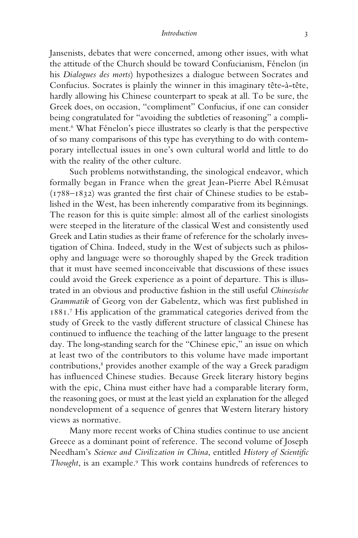Jansenists, debates that were concerned, among other issues, with what the attitude of the Church should be toward Confucianism, Fénelon (in his *Dialogues des morts*) hypothesizes a dialogue between Socrates and Confucius. Socrates is plainly the winner in this imaginary tête-à-tête, hardly allowing his Chinese counterpart to speak at all. To be sure, the Greek does, on occasion, "compliment" Confucius, if one can consider being congratulated for "avoiding the subtleties of reasoning" a compliment.6 What Fénelon's piece illustrates so clearly is that the perspective of so many comparisons of this type has everything to do with contemporary intellectual issues in one's own cultural world and little to do with the reality of the other culture.

Such problems notwithstanding, the sinological endeavor, which formally began in France when the great Jean-Pierre Abel Rémusat (1788–1832) was granted the first chair of Chinese studies to be established in the West, has been inherently comparative from its beginnings. The reason for this is quite simple: almost all of the earliest sinologists were steeped in the literature of the classical West and consistently used Greek and Latin studies as their frame of reference for the scholarly investigation of China. Indeed, study in the West of subjects such as philosophy and language were so thoroughly shaped by the Greek tradition that it must have seemed inconceivable that discussions of these issues could avoid the Greek experience as a point of departure. This is illustrated in an obvious and productive fashion in the still useful *Chinesische Grammatik* of Georg von der Gabelentz, which was first published in 1881.7 His application of the grammatical categories derived from the study of Greek to the vastly different structure of classical Chinese has continued to influence the teaching of the latter language to the present day. The long-standing search for the "Chinese epic," an issue on which at least two of the contributors to this volume have made important contributions,<sup>8</sup> provides another example of the way a Greek paradigm has influenced Chinese studies. Because Greek literary history begins with the epic, China must either have had a comparable literary form, the reasoning goes, or must at the least yield an explanation for the alleged nondevelopment of a sequence of genres that Western literary history views as normative.

Many more recent works of China studies continue to use ancient Greece as a dominant point of reference. The second volume of Joseph Needham's *Science and Civilization in China*, entitled *History of Scientific* Thought, is an example.<sup>9</sup> This work contains hundreds of references to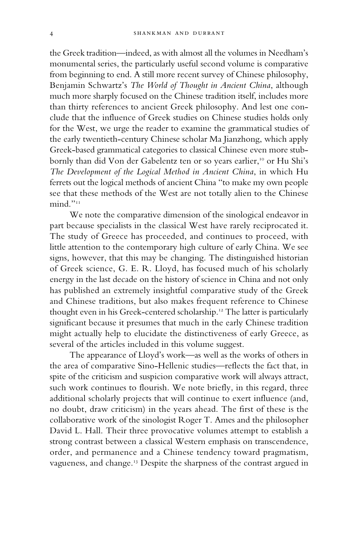the Greek tradition—indeed, as with almost all the volumes in Needham's monumental series, the particularly useful second volume is comparative from beginning to end. A still more recent survey of Chinese philosophy, Benjamin Schwartz's *The World of Thought in Ancient China*, although much more sharply focused on the Chinese tradition itself, includes more than thirty references to ancient Greek philosophy. And lest one conclude that the influence of Greek studies on Chinese studies holds only for the West, we urge the reader to examine the grammatical studies of the early twentieth-century Chinese scholar Ma Jianzhong, which apply Greek-based grammatical categories to classical Chinese even more stubbornly than did Von der Gabelentz ten or so years earlier,<sup>10</sup> or Hu Shi's *The Development of the Logical Method in Ancient China*, in which Hu ferrets out the logical methods of ancient China "to make my own people see that these methods of the West are not totally alien to the Chinese mind."<sup>111</sup>

We note the comparative dimension of the sinological endeavor in part because specialists in the classical West have rarely reciprocated it. The study of Greece has proceeded, and continues to proceed, with little attention to the contemporary high culture of early China. We see signs, however, that this may be changing. The distinguished historian of Greek science, G. E. R. Lloyd, has focused much of his scholarly energy in the last decade on the history of science in China and not only has published an extremely insightful comparative study of the Greek and Chinese traditions, but also makes frequent reference to Chinese thought even in his Greek-centered scholarship.<sup>12</sup> The latter is particularly significant because it presumes that much in the early Chinese tradition might actually help to elucidate the distinctiveness of early Greece, as several of the articles included in this volume suggest.

The appearance of Lloyd's work—as well as the works of others in the area of comparative Sino-Hellenic studies—reflects the fact that, in spite of the criticism and suspicion comparative work will always attract, such work continues to flourish. We note briefly, in this regard, three additional scholarly projects that will continue to exert influence (and, no doubt, draw criticism) in the years ahead. The first of these is the collaborative work of the sinologist Roger T. Ames and the philosopher David L. Hall. Their three provocative volumes attempt to establish a strong contrast between a classical Western emphasis on transcendence, order, and permanence and a Chinese tendency toward pragmatism, vagueness, and change.13 Despite the sharpness of the contrast argued in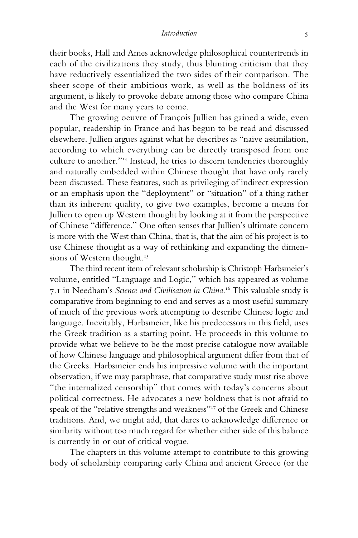their books, Hall and Ames acknowledge philosophical countertrends in each of the civilizations they study, thus blunting criticism that they have reductively essentialized the two sides of their comparison. The sheer scope of their ambitious work, as well as the boldness of its argument, is likely to provoke debate among those who compare China and the West for many years to come.

The growing oeuvre of François Jullien has gained a wide, even popular, readership in France and has begun to be read and discussed elsewhere. Jullien argues against what he describes as "naive assimilation, according to which everything can be directly transposed from one culture to another."14 Instead, he tries to discern tendencies thoroughly and naturally embedded within Chinese thought that have only rarely been discussed. These features, such as privileging of indirect expression or an emphasis upon the "deployment" or "situation" of a thing rather than its inherent quality, to give two examples, become a means for Jullien to open up Western thought by looking at it from the perspective of Chinese "difference." One often senses that Jullien's ultimate concern is more with the West than China, that is, that the aim of his project is to use Chinese thought as a way of rethinking and expanding the dimensions of Western thought.<sup>15</sup>

The third recent item of relevant scholarship is Christoph Harbsmeier's volume, entitled "Language and Logic," which has appeared as volume 7.1 in Needham's *Science and Civilisation in China*. 16 This valuable study is comparative from beginning to end and serves as a most useful summary of much of the previous work attempting to describe Chinese logic and language. Inevitably, Harbsmeier, like his predecessors in this field, uses the Greek tradition as a starting point. He proceeds in this volume to provide what we believe to be the most precise catalogue now available of how Chinese language and philosophical argument differ from that of the Greeks. Harbsmeier ends his impressive volume with the important observation, if we may paraphrase, that comparative study must rise above "the internalized censorship" that comes with today's concerns about political correctness. He advocates a new boldness that is not afraid to speak of the "relative strengths and weakness"<sup>17</sup> of the Greek and Chinese traditions. And, we might add, that dares to acknowledge difference or similarity without too much regard for whether either side of this balance is currently in or out of critical vogue.

The chapters in this volume attempt to contribute to this growing body of scholarship comparing early China and ancient Greece (or the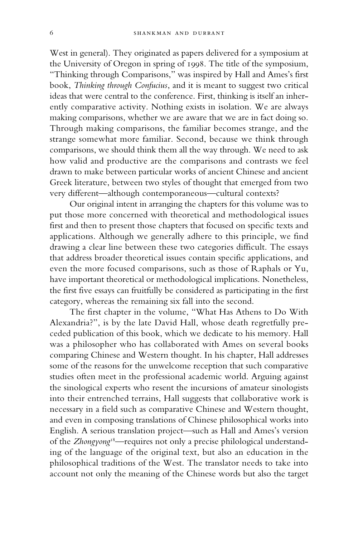West in general). They originated as papers delivered for a symposium at the University of Oregon in spring of 1998. The title of the symposium, "Thinking through Comparisons," was inspired by Hall and Ames's first book, *Thinking through Confucius*, and it is meant to suggest two critical ideas that were central to the conference. First, thinking is itself an inherently comparative activity. Nothing exists in isolation. We are always making comparisons, whether we are aware that we are in fact doing so. Through making comparisons, the familiar becomes strange, and the strange somewhat more familiar. Second, because we think through comparisons, we should think them all the way through. We need to ask how valid and productive are the comparisons and contrasts we feel drawn to make between particular works of ancient Chinese and ancient Greek literature, between two styles of thought that emerged from two very different—although contemporaneous—cultural contexts?

Our original intent in arranging the chapters for this volume was to put those more concerned with theoretical and methodological issues first and then to present those chapters that focused on specific texts and applications. Although we generally adhere to this principle, we find drawing a clear line between these two categories difficult. The essays that address broader theoretical issues contain specific applications, and even the more focused comparisons, such as those of Raphals or Yu, have important theoretical or methodological implications. Nonetheless, the first five essays can fruitfully be considered as participating in the first category, whereas the remaining six fall into the second.

The first chapter in the volume, "What Has Athens to Do With Alexandria?", is by the late David Hall, whose death regretfully preceded publication of this book, which we dedicate to his memory. Hall was a philosopher who has collaborated with Ames on several books comparing Chinese and Western thought. In his chapter, Hall addresses some of the reasons for the unwelcome reception that such comparative studies often meet in the professional academic world. Arguing against the sinological experts who resent the incursions of amateur sinologists into their entrenched terrains, Hall suggests that collaborative work is necessary in a field such as comparative Chinese and Western thought, and even in composing translations of Chinese philosophical works into English. A serious translation project—such as Hall and Ames's version of the *Zhongyong*18—requires not only a precise philological understanding of the language of the original text, but also an education in the philosophical traditions of the West. The translator needs to take into account not only the meaning of the Chinese words but also the target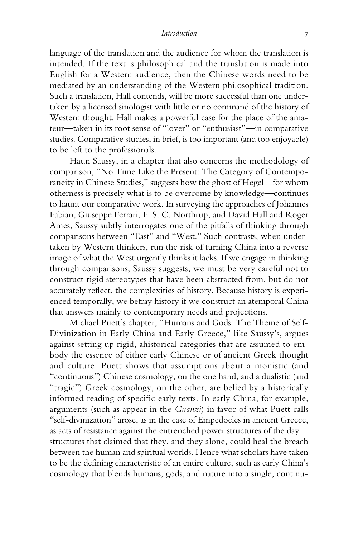language of the translation and the audience for whom the translation is intended. If the text is philosophical and the translation is made into English for a Western audience, then the Chinese words need to be mediated by an understanding of the Western philosophical tradition. Such a translation, Hall contends, will be more successful than one undertaken by a licensed sinologist with little or no command of the history of Western thought. Hall makes a powerful case for the place of the amateur—taken in its root sense of "lover" or "enthusiast"—in comparative studies. Comparative studies, in brief, is too important (and too enjoyable) to be left to the professionals.

Haun Saussy, in a chapter that also concerns the methodology of comparison, "No Time Like the Present: The Category of Contemporaneity in Chinese Studies," suggests how the ghost of Hegel—for whom otherness is precisely what is to be overcome by knowledge—continues to haunt our comparative work. In surveying the approaches of Johannes Fabian, Giuseppe Ferrari, F. S. C. Northrup, and David Hall and Roger Ames, Saussy subtly interrogates one of the pitfalls of thinking through comparisons between "East" and "West." Such contrasts, when undertaken by Western thinkers, run the risk of turning China into a reverse image of what the West urgently thinks it lacks. If we engage in thinking through comparisons, Saussy suggests, we must be very careful not to construct rigid stereotypes that have been abstracted from, but do not accurately reflect, the complexities of history. Because history is experienced temporally, we betray history if we construct an atemporal China that answers mainly to contemporary needs and projections.

Michael Puett's chapter, "Humans and Gods: The Theme of Self-Divinization in Early China and Early Greece," like Saussy's, argues against setting up rigid, ahistorical categories that are assumed to embody the essence of either early Chinese or of ancient Greek thought and culture. Puett shows that assumptions about a monistic (and "continuous") Chinese cosmology, on the one hand, and a dualistic (and "tragic") Greek cosmology, on the other, are belied by a historically informed reading of specific early texts. In early China, for example, arguments (such as appear in the *Guanzi*) in favor of what Puett calls "self-divinization" arose, as in the case of Empedocles in ancient Greece, as acts of resistance against the entrenched power structures of the day structures that claimed that they, and they alone, could heal the breach between the human and spiritual worlds. Hence what scholars have taken to be the defining characteristic of an entire culture, such as early China's cosmology that blends humans, gods, and nature into a single, continu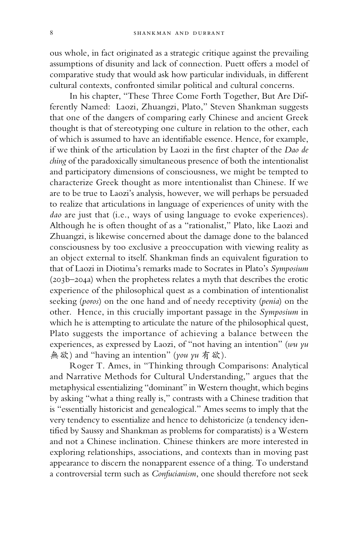ous whole, in fact originated as a strategic critique against the prevailing assumptions of disunity and lack of connection. Puett offers a model of comparative study that would ask how particular individuals, in different cultural contexts, confronted similar political and cultural concerns.

In his chapter, "These Three Come Forth Together, But Are Differently Named: Laozi, Zhuangzi, Plato," Steven Shankman suggests that one of the dangers of comparing early Chinese and ancient Greek thought is that of stereotyping one culture in relation to the other, each of which is assumed to have an identifiable essence. Hence, for example, if we think of the articulation by Laozi in the first chapter of the *Dao de ching* of the paradoxically simultaneous presence of both the intentionalist and participatory dimensions of consciousness, we might be tempted to characterize Greek thought as more intentionalist than Chinese. If we are to be true to Laozi's analysis, however, we will perhaps be persuaded to realize that articulations in language of experiences of unity with the *dao* are just that (i.e., ways of using language to evoke experiences). Although he is often thought of as a "rationalist," Plato, like Laozi and Zhuangzi, is likewise concerned about the damage done to the balanced consciousness by too exclusive a preoccupation with viewing reality as an object external to itself. Shankman finds an equivalent figuration to that of Laozi in Diotima's remarks made to Socrates in Plato's *Symposium* (203b–204a) when the prophetess relates a myth that describes the erotic experience of the philosophical quest as a combination of intentionalist seeking (*poros*) on the one hand and of needy receptivity (*penia*) on the other. Hence, in this crucially important passage in the *Symposium* in which he is attempting to articulate the nature of the philosophical quest, Plato suggests the importance of achieving a balance between the experiences, as expressed by Laozi, of "not having an intention" (*wu yu* 無欲) and "having an intention" (*you yu* 有欲).

Roger T. Ames, in "Thinking through Comparisons: Analytical and Narrative Methods for Cultural Understanding," argues that the metaphysical essentializing "dominant" in Western thought, which begins by asking "what a thing really is," contrasts with a Chinese tradition that is "essentially historicist and genealogical." Ames seems to imply that the very tendency to essentialize and hence to dehistoricize (a tendency identified by Saussy and Shankman as problems for comparatists) is a Western and not a Chinese inclination. Chinese thinkers are more interested in exploring relationships, associations, and contexts than in moving past appearance to discern the nonapparent essence of a thing. To understand a controversial term such as *Confucianism*, one should therefore not seek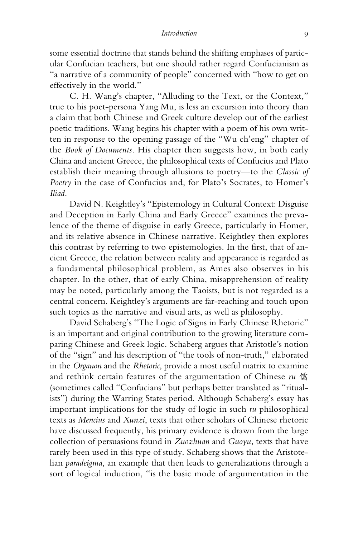some essential doctrine that stands behind the shifting emphases of particular Confucian teachers, but one should rather regard Confucianism as "a narrative of a community of people" concerned with "how to get on effectively in the world."

C. H. Wang's chapter, "Alluding to the Text, or the Context," true to his poet-persona Yang Mu, is less an excursion into theory than a claim that both Chinese and Greek culture develop out of the earliest poetic traditions. Wang begins his chapter with a poem of his own written in response to the opening passage of the "Wu ch'eng" chapter of the *Book of Documents*. His chapter then suggests how, in both early China and ancient Greece, the philosophical texts of Confucius and Plato establish their meaning through allusions to poetry—to the *Classic of Poetry* in the case of Confucius and, for Plato's Socrates, to Homer's *Iliad*.

David N. Keightley's "Epistemology in Cultural Context: Disguise and Deception in Early China and Early Greece" examines the prevalence of the theme of disguise in early Greece, particularly in Homer, and its relative absence in Chinese narrative. Keightley then explores this contrast by referring to two epistemologies. In the first, that of ancient Greece, the relation between reality and appearance is regarded as a fundamental philosophical problem, as Ames also observes in his chapter. In the other, that of early China, misapprehension of reality may be noted, particularly among the Taoists, but is not regarded as a central concern. Keightley's arguments are far-reaching and touch upon such topics as the narrative and visual arts, as well as philosophy.

David Schaberg's "The Logic of Signs in Early Chinese Rhetoric" is an important and original contribution to the growing literature comparing Chinese and Greek logic. Schaberg argues that Aristotle's notion of the "sign" and his description of "the tools of non-truth," elaborated in the *Organon* and the *Rhetoric*, provide a most useful matrix to examine and rethink certain features of the argumentation of Chinese *ru* 儒 (sometimes called "Confucians" but perhaps better translated as "ritualists") during the Warring States period. Although Schaberg's essay has important implications for the study of logic in such *ru* philosophical texts as *Mencius* and *Xunzi*, texts that other scholars of Chinese rhetoric have discussed frequently, his primary evidence is drawn from the large collection of persuasions found in *Zuozhuan* and *Guoyu*, texts that have rarely been used in this type of study. Schaberg shows that the Aristotelian *paradeigma*, an example that then leads to generalizations through a sort of logical induction, "is the basic mode of argumentation in the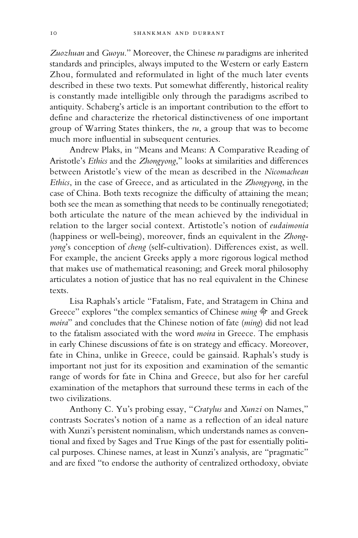*Zuozhuan* and *Guoyu*." Moreover, the Chinese *ru* paradigms are inherited standards and principles, always imputed to the Western or early Eastern Zhou, formulated and reformulated in light of the much later events described in these two texts. Put somewhat differently, historical reality is constantly made intelligible only through the paradigms ascribed to antiquity. Schaberg's article is an important contribution to the effort to define and characterize the rhetorical distinctiveness of one important group of Warring States thinkers, the *ru*, a group that was to become much more influential in subsequent centuries.

Andrew Plaks, in "Means and Means: A Comparative Reading of Aristotle's *Ethics* and the *Zhongyong*," looks at similarities and differences between Aristotle's view of the mean as described in the *Nicomachean Ethics*, in the case of Greece, and as articulated in the *Zhongyong*, in the case of China. Both texts recognize the difficulty of attaining the mean; both see the mean as something that needs to be continually renegotiated; both articulate the nature of the mean achieved by the individual in relation to the larger social context. Artistotle's notion of *eudaimonia* (happiness or well-being), moreover, finds an equivalent in the *Zhongyong*'s conception of *cheng* (self-cultivation). Differences exist, as well. For example, the ancient Greeks apply a more rigorous logical method that makes use of mathematical reasoning; and Greek moral philosophy articulates a notion of justice that has no real equivalent in the Chinese texts.

Lisa Raphals's article "Fatalism, Fate, and Stratagem in China and Greece" explores "the complex semantics of Chinese *ming* 命 and Greek *moira*" and concludes that the Chinese notion of fate (*ming*) did not lead to the fatalism associated with the word *moira* in Greece. The emphasis in early Chinese discussions of fate is on strategy and efficacy. Moreover, fate in China, unlike in Greece, could be gainsaid. Raphals's study is important not just for its exposition and examination of the semantic range of words for fate in China and Greece, but also for her careful examination of the metaphors that surround these terms in each of the two civilizations.

Anthony C. Yu's probing essay, "*Cratylus* and *Xunzi* on Names," contrasts Socrates's notion of a name as a reflection of an ideal nature with Xunzi's persistent nominalism, which understands names as conventional and fixed by Sages and True Kings of the past for essentially political purposes. Chinese names, at least in Xunzi's analysis, are "pragmatic" and are fixed "to endorse the authority of centralized orthodoxy, obviate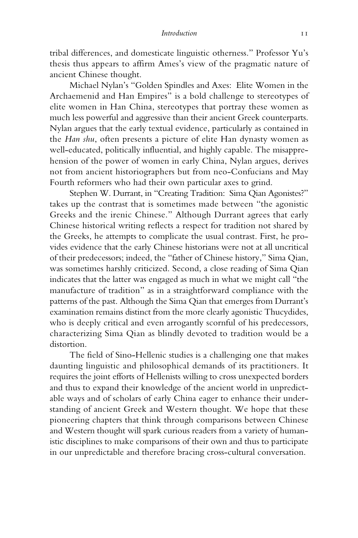tribal differences, and domesticate linguistic otherness." Professor Yu's thesis thus appears to affirm Ames's view of the pragmatic nature of ancient Chinese thought.

Michael Nylan's "Golden Spindles and Axes: Elite Women in the Archaemenid and Han Empires" is a bold challenge to stereotypes of elite women in Han China, stereotypes that portray these women as much less powerful and aggressive than their ancient Greek counterparts. Nylan argues that the early textual evidence, particularly as contained in the *Han shu*, often presents a picture of elite Han dynasty women as well-educated, politically influential, and highly capable. The misapprehension of the power of women in early China, Nylan argues, derives not from ancient historiographers but from neo-Confucians and May Fourth reformers who had their own particular axes to grind.

Stephen W. Durrant, in "Creating Tradition: Sima Qian Agonistes?" takes up the contrast that is sometimes made between "the agonistic Greeks and the irenic Chinese." Although Durrant agrees that early Chinese historical writing reflects a respect for tradition not shared by the Greeks, he attempts to complicate the usual contrast. First, he provides evidence that the early Chinese historians were not at all uncritical of their predecessors; indeed, the "father of Chinese history," Sima Qian, was sometimes harshly criticized. Second, a close reading of Sima Qian indicates that the latter was engaged as much in what we might call "the manufacture of tradition" as in a straightforward compliance with the patterns of the past. Although the Sima Qian that emerges from Durrant's examination remains distinct from the more clearly agonistic Thucydides, who is deeply critical and even arrogantly scornful of his predecessors, characterizing Sima Qian as blindly devoted to tradition would be a distortion.

The field of Sino-Hellenic studies is a challenging one that makes daunting linguistic and philosophical demands of its practitioners. It requires the joint efforts of Hellenists willing to cross unexpected borders and thus to expand their knowledge of the ancient world in unpredictable ways and of scholars of early China eager to enhance their understanding of ancient Greek and Western thought. We hope that these pioneering chapters that think through comparisons between Chinese and Western thought will spark curious readers from a variety of humanistic disciplines to make comparisons of their own and thus to participate in our unpredictable and therefore bracing cross-cultural conversation.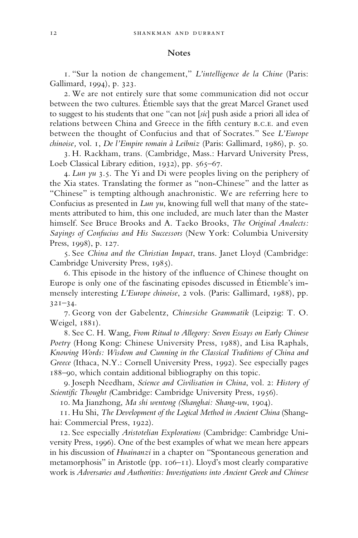#### **Notes**

1. "Sur la notion de changement," *L'intelligence de la Chine* (Paris: Gallimard, 1994), p. 323.

2. We are not entirely sure that some communication did not occur between the two cultures. Étiemble says that the great Marcel Granet used to suggest to his students that one "can not [*sic*] push aside a priori all idea of relations between China and Greece in the fifth century b.c.e. and even between the thought of Confucius and that of Socrates." See *L'Europe chinoise,* vol. 1, *De l'Empire romain à Leibniz* (Paris: Gallimard, 1986), p. 50.

3. H. Rackham, trans. (Cambridge, Mass.: Harvard University Press, Loeb Classical Library edition, 1932), pp. 565-67.

4. *Lun yu* 3.5. The Yi and Di were peoples living on the periphery of the Xia states. Translating the former as "non-Chinese" and the latter as "Chinese" is tempting although anachronistic. We are referring here to Confucius as presented in *Lun yu*, knowing full well that many of the statements attributed to him, this one included, are much later than the Master himself. See Bruce Brooks and A. Taeko Brooks, *The Original Analects: Sayings of Confucius and His Successors* (New York: Columbia University Press, 1998), p. 127.

5. See *China and the Christian Impact*, trans. Janet Lloyd (Cambridge: Cambridge University Press, 1985).

6. This episode in the history of the influence of Chinese thought on Europe is only one of the fascinating episodes discussed in Étiemble's immensely interesting *L'Europe chinoise*, 2 vols. (Paris: Gallimard, 1988), pp. 321–34.

7. Georg von der Gabelentz, *Chinesiche Grammatik* (Leipzig: T. O. Weigel, 1881).

8. See C. H. Wang, *From Ritual to Allegory: Seven Essays on Early Chinese Poetry* (Hong Kong: Chinese University Press, 1988), and Lisa Raphals, *Knowing Words: Wisdom and Cunning in the Classical Traditions of China and Greece* (Ithaca, N.Y.: Cornell University Press, 1992). See especially pages 188–90, which contain additional bibliography on this topic.

9. Joseph Needham, *Science and Civilisation in China*, vol. 2: *History of Scientific Thought (*Cambridge: Cambridge University Press, 1956).

10. Ma Jianzhong, *Ma shi wentong (Shanghai: Shang-wu*, 1904).

11. Hu Shi, *The Development of the Logical Method in Ancient China* (Shanghai: Commercial Press, 1922).

12. See especially *Aristotelian Explorations* (Cambridge: Cambridge University Press, 1996). One of the best examples of what we mean here appears in his discussion of *Huainanzi* in a chapter on "Spontaneous generation and metamorphosis" in Aristotle (pp. 106–11). Lloyd's most clearly comparative work is *Adversaries and Authorities: Investigations into Ancient Greek and Chinese*